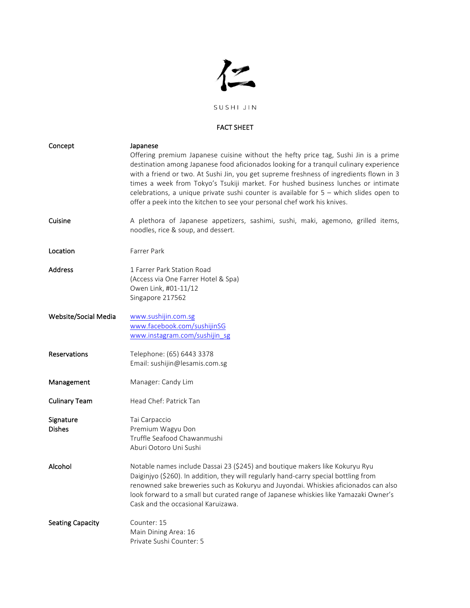

## FACT SHEET

| Concept                    | Japanese                                                                                                                                                                                                                                                                                                                                                                                                                                                                                                                              |
|----------------------------|---------------------------------------------------------------------------------------------------------------------------------------------------------------------------------------------------------------------------------------------------------------------------------------------------------------------------------------------------------------------------------------------------------------------------------------------------------------------------------------------------------------------------------------|
|                            | Offering premium Japanese cuisine without the hefty price tag, Sushi Jin is a prime<br>destination among Japanese food aficionados looking for a tranquil culinary experience<br>with a friend or two. At Sushi Jin, you get supreme freshness of ingredients flown in 3<br>times a week from Tokyo's Tsukiji market. For hushed business lunches or intimate<br>celebrations, a unique private sushi counter is available for $5 -$ which slides open to<br>offer a peek into the kitchen to see your personal chef work his knives. |
| Cuisine                    | A plethora of Japanese appetizers, sashimi, sushi, maki, agemono, grilled items,<br>noodles, rice & soup, and dessert.                                                                                                                                                                                                                                                                                                                                                                                                                |
| Location                   | Farrer Park                                                                                                                                                                                                                                                                                                                                                                                                                                                                                                                           |
| <b>Address</b>             | 1 Farrer Park Station Road<br>(Access via One Farrer Hotel & Spa)<br>Owen Link, #01-11/12<br>Singapore 217562                                                                                                                                                                                                                                                                                                                                                                                                                         |
| Website/Social Media       | www.sushijin.com.sg<br>www.facebook.com/sushijinSG<br>www.instagram.com/sushijin_sg                                                                                                                                                                                                                                                                                                                                                                                                                                                   |
| Reservations               | Telephone: (65) 6443 3378<br>Email: sushijin@lesamis.com.sg                                                                                                                                                                                                                                                                                                                                                                                                                                                                           |
| Management                 | Manager: Candy Lim                                                                                                                                                                                                                                                                                                                                                                                                                                                                                                                    |
| <b>Culinary Team</b>       | Head Chef: Patrick Tan                                                                                                                                                                                                                                                                                                                                                                                                                                                                                                                |
| Signature<br><b>Dishes</b> | Tai Carpaccio<br>Premium Wagyu Don<br>Truffle Seafood Chawanmushi<br>Aburi Ootoro Uni Sushi                                                                                                                                                                                                                                                                                                                                                                                                                                           |
| Alcohol                    | Notable names include Dassai 23 (\$245) and boutique makers like Kokuryu Ryu<br>Daiginjyo (\$260). In addition, they will regularly hand-carry special bottling from<br>renowned sake breweries such as Kokuryu and Juyondai. Whiskies aficionados can also<br>look forward to a small but curated range of Japanese whiskies like Yamazaki Owner's<br>Cask and the occasional Karuizawa.                                                                                                                                             |
| <b>Seating Capacity</b>    | Counter: 15<br>Main Dining Area: 16<br>Private Sushi Counter: 5                                                                                                                                                                                                                                                                                                                                                                                                                                                                       |